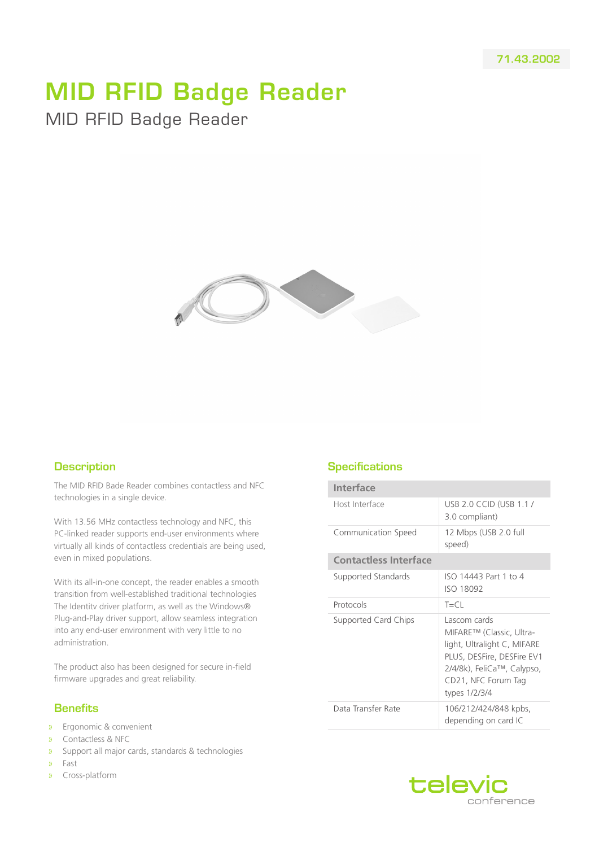## MID RFID Badge Reader MID RFID Badge Reader



## **Description**

The MID RFID Bade Reader combines contactless and NFC technologies in a single device.

With 13.56 MHz contactless technology and NFC, this PC-linked reader supports end-user environments where virtually all kinds of contactless credentials are being used, even in mixed populations.

With its all-in-one concept, the reader enables a smooth transition from well-established traditional technologies The Identitv driver platform, as well as the Windows® Plug-and-Play driver support, allow seamless integration into any end-user environment with very little to no administration.

The product also has been designed for secure in-field firmware upgrades and great reliability.

## **Benefits**

- » Ergonomic & convenient
- » Contactless & NFC
- » Support all major cards, standards & technologies
- » Fast
- » Cross-platform

## **Specifications**

| Interface                    |                                                                                                                                                                             |
|------------------------------|-----------------------------------------------------------------------------------------------------------------------------------------------------------------------------|
| Host Interface               | <b>USB 2.0 CCID (USB 1.1 /</b><br>3.0 compliant)                                                                                                                            |
| Communication Speed          | 12 Mbps (USB 2.0 full<br>speed)                                                                                                                                             |
| <b>Contactless Interface</b> |                                                                                                                                                                             |
| Supported Standards          | ISO 14443 Part 1 to 4<br><b>ISO 18092</b>                                                                                                                                   |
| Protocols                    | $T = CL$                                                                                                                                                                    |
| Supported Card Chips         | Lascom cards<br>MIFARE™ (Classic, Ultra-<br>light, Ultralight C, MIFARE<br>PLUS, DESFire, DESFire EV1<br>2/4/8k), FeliCa™, Calypso,<br>CD21, NFC Forum Tag<br>types 1/2/3/4 |
| Data Transfer Rate           | 106/212/424/848 kpbs,<br>depending on card IC                                                                                                                               |